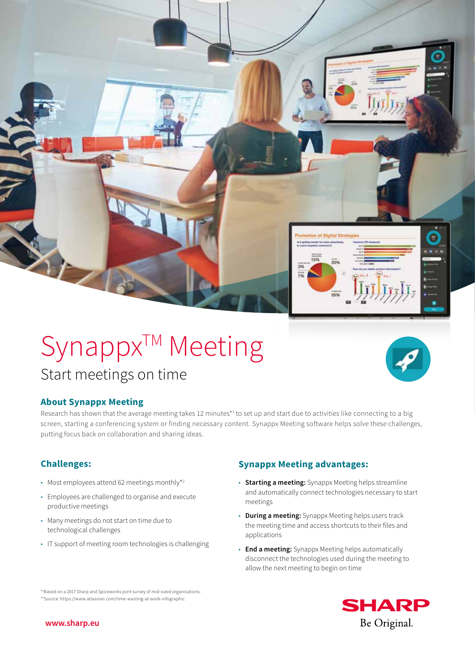

# **About Synappx Meeting**

Research has shown that the average meeting takes 12 minutes<sup>\*1</sup> to set up and start due to activities like connecting to a big screen, starting a conferencing system or finding necessary content. Synappx Meeting software helps solve these challenges, putting focus back on collaboration and sharing ideas.

- Most employees attend 62 meetings monthly\*2
- Employees are challenged to organise and execute productive meetings
- Many meetings do not start on time due to technological challenges
- IT support of meeting room technologies is challenging

# **Challenges: Synappx Meeting advantages:**

- **Starting a meeting:** Synappx Meeting helps streamline and automatically connect technologies necessary to start meetings
- **During a meeting:** Synappx Meeting helps users track the meeting time and access shortcuts to their files and applications
- **End a meeting:** Synappx Meeting helps automatically disconnect the technologies used during the meeting to allow the next meeting to begin on time





**www.sharp.eu**